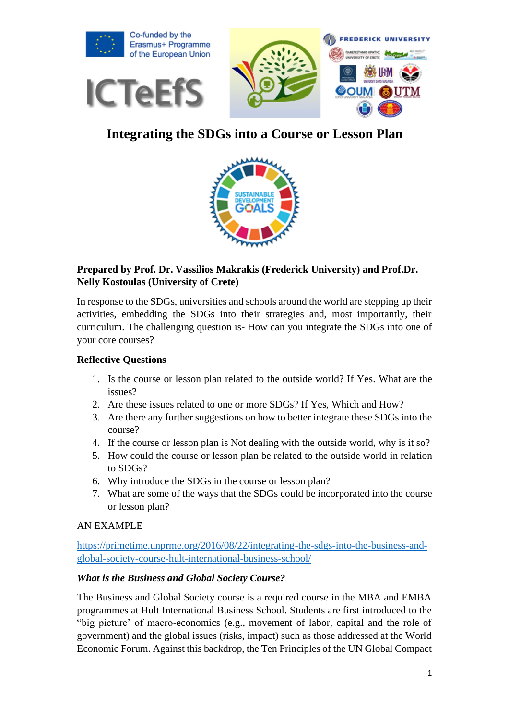

# **Integrating the SDGs into a Course or Lesson Plan**



# **Prepared by Prof. Dr. Vassilios Makrakis (Frederick University) and Prof.Dr. Nelly Kostoulas (University of Crete)**

In response to the SDGs, universities and schools around the world are stepping up their activities, embedding the SDGs into their strategies and, most importantly, their curriculum. The challenging question is- How can you integrate the SDGs into one of your core courses?

## **Reflective Questions**

- 1. Is the course or lesson plan related to the outside world? If Yes. What are the issues?
- 2. Are these issues related to one or more SDGs? If Yes, Which and How?
- 3. Are there any further suggestions on how to better integrate these SDGs into the course?
- 4. If the course or lesson plan is Not dealing with the outside world, why is it so?
- 5. How could the course or lesson plan be related to the outside world in relation to SDGs?
- 6. Why introduce the SDGs in the course or lesson plan?
- 7. What are some of the ways that the SDGs could be incorporated into the course or lesson plan?

# AN EXAMPLE

[https://primetime.unprme.org/2016/08/22/integrating-the-sdgs-into-the-business-and](https://primetime.unprme.org/2016/08/22/integrating-the-sdgs-into-the-business-and-global-society-course-hult-international-business-school/)[global-society-course-hult-international-business-school/](https://primetime.unprme.org/2016/08/22/integrating-the-sdgs-into-the-business-and-global-society-course-hult-international-business-school/)

## *What is the Business and Global Society Course?*

The Business and Global Society course is a required course in the MBA and EMBA programmes at Hult International Business School. Students are first introduced to the "big picture' of macro-economics (e.g., movement of labor, capital and the role of government) and the global issues (risks, impact) such as those addressed at the World Economic Forum. Against this backdrop, the Ten Principles of the UN Global Compact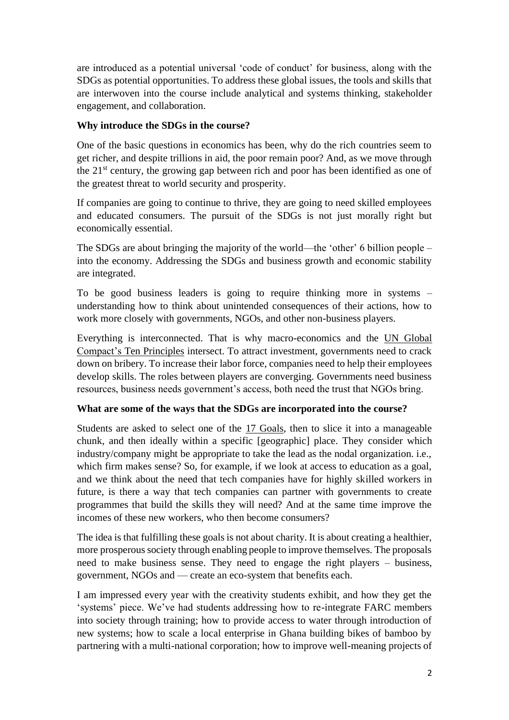are introduced as a potential universal 'code of conduct' for business, along with the SDGs as potential opportunities. To address these global issues, the tools and skills that are interwoven into the course include analytical and systems thinking, stakeholder engagement, and collaboration.

## **Why introduce the SDGs in the course?**

One of the basic questions in economics has been, why do the rich countries seem to get richer, and despite trillions in aid, the poor remain poor? And, as we move through the  $21<sup>st</sup>$  century, the growing gap between rich and poor has been identified as one of the greatest threat to world security and prosperity.

If companies are going to continue to thrive, they are going to need skilled employees and educated consumers. The pursuit of the SDGs is not just morally right but economically essential.

The SDGs are about bringing the majority of the world—the 'other' 6 billion people – into the economy. Addressing the SDGs and business growth and economic stability are integrated.

To be good business leaders is going to require thinking more in systems – understanding how to think about unintended consequences of their actions, how to work more closely with governments, NGOs, and other non-business players.

Everything is interconnected. That is why macro-economics and the UN [Global](https://www.unglobalcompact.org/what-is-gc/mission/principles) [Compact's](https://www.unglobalcompact.org/what-is-gc/mission/principles) Ten Principles intersect. To attract investment, governments need to crack down on bribery. To increase their labor force, companies need to help their employees develop skills. The roles between players are converging. Governments need business resources, business needs government's access, both need the trust that NGOs bring.

## **What are some of the ways that the SDGs are incorporated into the course?**

Students are asked to select one of the 17 [Goals,](https://sustainabledevelopment.un.org/sdgs) then to slice it into a manageable chunk, and then ideally within a specific [geographic] place. They consider which industry/company might be appropriate to take the lead as the nodal organization. i.e., which firm makes sense? So, for example, if we look at access to education as a goal, and we think about the need that tech companies have for highly skilled workers in future, is there a way that tech companies can partner with governments to create programmes that build the skills they will need? And at the same time improve the incomes of these new workers, who then become consumers?

The idea is that fulfilling these goals is not about charity. It is about creating a healthier, more prosperous society through enabling people to improve themselves. The proposals need to make business sense. They need to engage the right players – business, government, NGOs and — create an eco-system that benefits each.

I am impressed every year with the creativity students exhibit, and how they get the 'systems' piece. We've had students addressing how to re-integrate FARC members into society through training; how to provide access to water through introduction of new systems; how to scale a local enterprise in Ghana building bikes of bamboo by partnering with a multi-national corporation; how to improve well-meaning projects of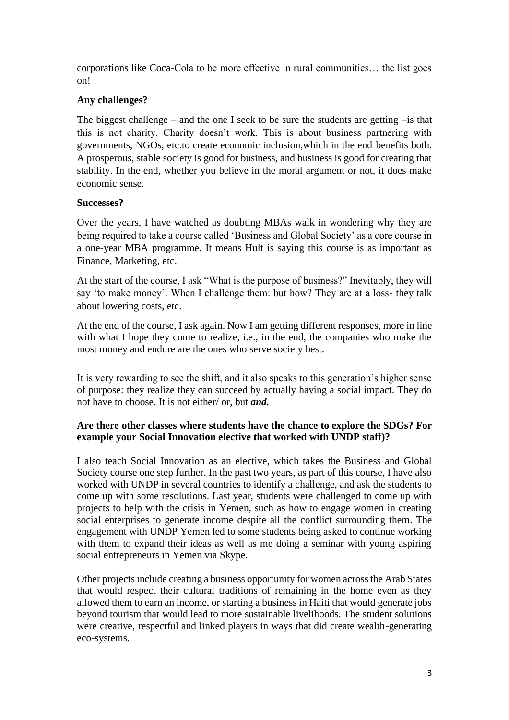corporations like Coca-Cola to be more effective in rural communities… the list goes on!

## **Any challenges?**

The biggest challenge – and the one I seek to be sure the students are getting  $-i$ s that this is not charity. Charity doesn't work. This is about business partnering with governments, NGOs, etc.to create economic inclusion,which in the end benefits both. A prosperous, stable society is good for business, and business is good for creating that stability. In the end, whether you believe in the moral argument or not, it does make economic sense.

## **Successes?**

Over the years, I have watched as doubting MBAs walk in wondering why they are being required to take a course called 'Business and Global Society' as a core course in a one-year MBA programme. It means Hult is saying this course is as important as Finance, Marketing, etc.

At the start of the course, I ask "What is the purpose of business?" Inevitably, they will say 'to make money'. When I challenge them: but how? They are at a loss- they talk about lowering costs, etc.

At the end of the course, I ask again. Now I am getting different responses, more in line with what I hope they come to realize, i.e., in the end, the companies who make the most money and endure are the ones who serve society best.

It is very rewarding to see the shift, and it also speaks to this generation's higher sense of purpose: they realize they can succeed by actually having a social impact. They do not have to choose. It is not either/ or, but *and.*

## **Are there other classes where students have the chance to explore the SDGs? For example your Social Innovation elective that worked with UNDP staff)?**

I also teach Social Innovation as an elective, which takes the Business and Global Society course one step further. In the past two years, as part of this course, I have also worked with UNDP in several countries to identify a challenge, and ask the students to come up with some resolutions. Last year, students were challenged to come up with projects to help with the crisis in Yemen, such as how to engage women in creating social enterprises to generate income despite all the conflict surrounding them. The engagement with UNDP Yemen led to some students being asked to continue working with them to expand their ideas as well as me doing a seminar with young aspiring social entrepreneurs in Yemen via Skype.

Other projects include creating a business opportunity for women across the Arab States that would respect their cultural traditions of remaining in the home even as they allowed them to earn an income, or starting a business in Haiti that would generate jobs beyond tourism that would lead to more sustainable livelihoods. The student solutions were creative, respectful and linked players in ways that did create wealth-generating eco-systems.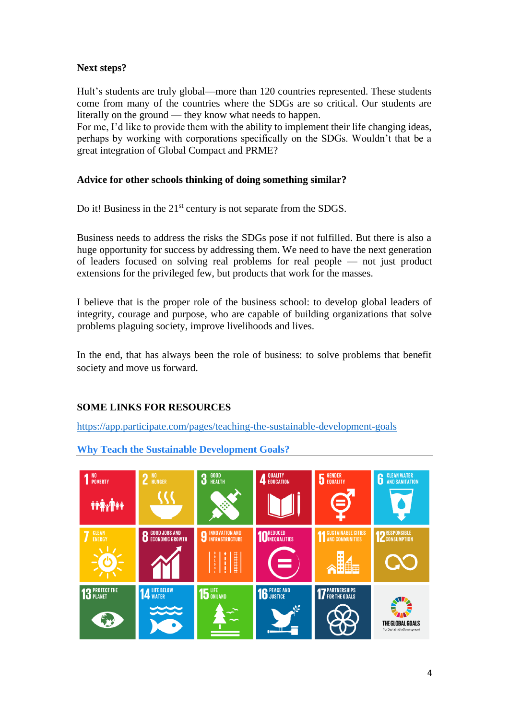## **Next steps?**

Hult's students are truly global—more than 120 countries represented. These students come from many of the countries where the SDGs are so critical. Our students are literally on the ground — they know what needs to happen.

For me, I'd like to provide them with the ability to implement their life changing ideas, perhaps by working with corporations specifically on the SDGs. Wouldn't that be a great integration of Global Compact and PRME?

## **Advice for other schools thinking of doing something similar?**

Do it! Business in the 21<sup>st</sup> century is not separate from the SDGS.

Business needs to address the risks the SDGs pose if not fulfilled. But there is also a huge opportunity for success by addressing them. We need to have the next generation of leaders focused on solving real problems for real people — not just product extensions for the privileged few, but products that work for the masses.

I believe that is the proper role of the business school: to develop global leaders of integrity, courage and purpose, who are capable of building organizations that solve problems plaguing society, improve livelihoods and lives.

In the end, that has always been the role of business: to solve problems that benefit society and move us forward.

# **SOME LINKS FOR RESOURCES**

<https://app.participate.com/pages/teaching-the-sustainable-development-goals>



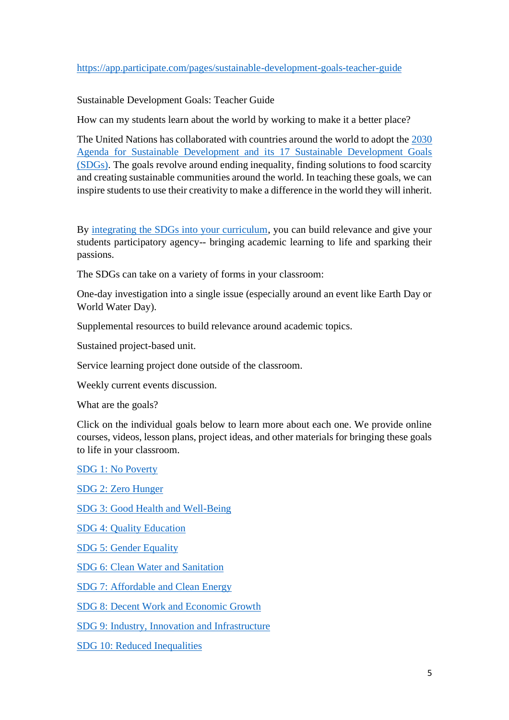Sustainable Development Goals: Teacher Guide

How can my students learn about the world by working to make it a better place?

The United Nations has collaborated with countries around the world to adopt the [2030](https://www.un.org/sustainabledevelopment/development-agenda/)  [Agenda for Sustainable Development and its 17 Sustainable Development Goals](https://www.un.org/sustainabledevelopment/development-agenda/)  [\(SDGs\).](https://www.un.org/sustainabledevelopment/development-agenda/) The goals revolve around ending inequality, finding solutions to food scarcity and creating sustainable communities around the world. In teaching these goals, we can inspire students to use their creativity to make a difference in the world they will inherit.

By [integrating the SDGs into your curriculum,](https://www.participatelearning.com/blog/4-reasons-to-teach-the-sustainable-development-goals/) you can build relevance and give your students participatory agency-- bringing academic learning to life and sparking their passions.

The SDGs can take on a variety of forms in your classroom:

One-day investigation into a single issue (especially around an event like Earth Day or World Water Day).

Supplemental resources to build relevance around academic topics.

Sustained project-based unit.

Service learning project done outside of the classroom.

Weekly current events discussion.

What are the goals?

Click on the individual goals below to learn more about each one. We provide online courses, videos, lesson plans, project ideas, and other materials for bringing these goals to life in your classroom.

[SDG 1: No Poverty](https://www.participate.com/pages/goal-1-no-poverty)

[SDG 2: Zero Hunger](https://www.participate.com/pages/goal-2-zero-hunger) [SDG 3: Good Health and Well-Being](https://www.participate.com/pages/goal-3-good-health-and-well-being) [SDG 4: Quality Education](https://www.participate.com/pages/goal-4-quality-education) [SDG 5: Gender Equality](https://www.participate.com/pages/goal-5-gender-equality) [SDG 6: Clean Water and Sanitation](https://www.participate.com/pages/goal-6-clean-water-and-sanitation)

[SDG 7: Affordable and Clean Energy](https://www.participate.com/pages/goal-7-affordable-and-clean-energy)

[SDG 8: Decent Work and Economic Growth](https://www.participate.com/pages/goal-8-decent-work-and-economic-growth)

[SDG 9: Industry, Innovation and Infrastructure](https://www.participate.com/pages/goal-9-industry-innovation-and-infrastructure)

[SDG 10: Reduced Inequalities](https://www.participate.com/pages/goal-10-reduced-inequalities)